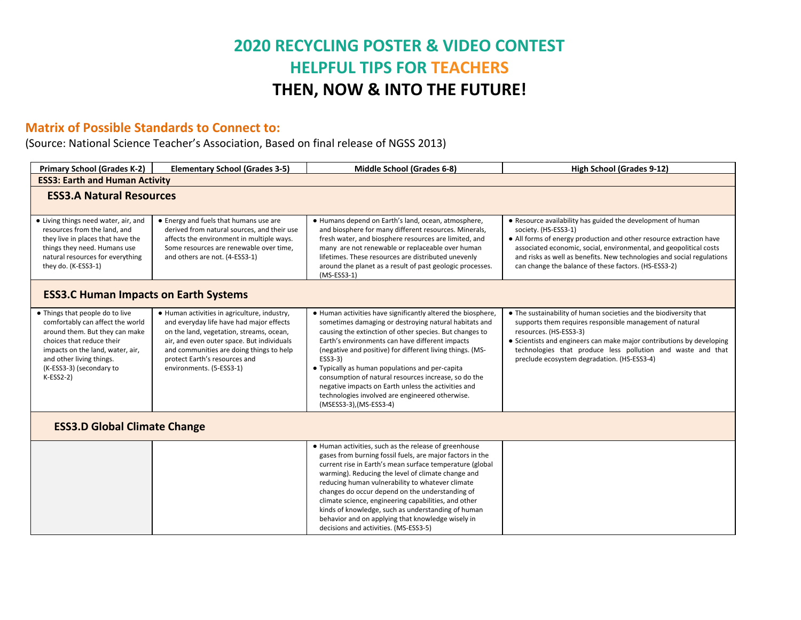## **2020 RECYCLING POSTER & VIDEO CONTEST HELPFUL TIPS FOR TEACHERS THEN, NOW & INTO THE FUTURE!**

## **Matrix of Possible Standards to Connect to:**

(Source: National Science Teacher's Association, Based on final release of NGSS 2013)

| <b>Primary School (Grades K-2)</b>                                                                                                                                                                                                            | <b>Elementary School (Grades 3-5)</b>                                                                                                                                                                                                                                                       | <b>Middle School (Grades 6-8)</b>                                                                                                                                                                                                                                                                                                                                                                                                                                                                                                                           | High School (Grades 9-12)                                                                                                                                                                                                                                                                                                                                          |  |  |  |  |
|-----------------------------------------------------------------------------------------------------------------------------------------------------------------------------------------------------------------------------------------------|---------------------------------------------------------------------------------------------------------------------------------------------------------------------------------------------------------------------------------------------------------------------------------------------|-------------------------------------------------------------------------------------------------------------------------------------------------------------------------------------------------------------------------------------------------------------------------------------------------------------------------------------------------------------------------------------------------------------------------------------------------------------------------------------------------------------------------------------------------------------|--------------------------------------------------------------------------------------------------------------------------------------------------------------------------------------------------------------------------------------------------------------------------------------------------------------------------------------------------------------------|--|--|--|--|
| <b>ESS3: Earth and Human Activity</b>                                                                                                                                                                                                         |                                                                                                                                                                                                                                                                                             |                                                                                                                                                                                                                                                                                                                                                                                                                                                                                                                                                             |                                                                                                                                                                                                                                                                                                                                                                    |  |  |  |  |
| <b>ESS3.A Natural Resources</b>                                                                                                                                                                                                               |                                                                                                                                                                                                                                                                                             |                                                                                                                                                                                                                                                                                                                                                                                                                                                                                                                                                             |                                                                                                                                                                                                                                                                                                                                                                    |  |  |  |  |
| • Living things need water, air, and<br>resources from the land, and<br>they live in places that have the<br>things they need. Humans use<br>natural resources for everything<br>they do. (K-ESS3-1)                                          | • Energy and fuels that humans use are<br>derived from natural sources, and their use<br>affects the environment in multiple ways.<br>Some resources are renewable over time,<br>and others are not. (4-ESS3-1)                                                                             | · Humans depend on Earth's land, ocean, atmosphere,<br>and biosphere for many different resources. Minerals,<br>fresh water, and biosphere resources are limited, and<br>many are not renewable or replaceable over human<br>lifetimes. These resources are distributed unevenly<br>around the planet as a result of past geologic processes.<br>$(MS-ESS3-1)$                                                                                                                                                                                              | . Resource availability has guided the development of human<br>society. (HS-ESS3-1)<br>• All forms of energy production and other resource extraction have<br>associated economic, social, environmental, and geopolitical costs<br>and risks as well as benefits. New technologies and social regulations<br>can change the balance of these factors. (HS-ESS3-2) |  |  |  |  |
| <b>ESS3.C Human Impacts on Earth Systems</b>                                                                                                                                                                                                  |                                                                                                                                                                                                                                                                                             |                                                                                                                                                                                                                                                                                                                                                                                                                                                                                                                                                             |                                                                                                                                                                                                                                                                                                                                                                    |  |  |  |  |
| • Things that people do to live<br>comfortably can affect the world<br>around them. But they can make<br>choices that reduce their<br>impacts on the land, water, air,<br>and other living things.<br>(K-ESS3-3) (secondary to<br>$K-ESS2-2)$ | • Human activities in agriculture, industry,<br>and everyday life have had major effects<br>on the land, vegetation, streams, ocean,<br>air, and even outer space. But individuals<br>and communities are doing things to help<br>protect Earth's resources and<br>environments. (5-ESS3-1) | . Human activities have significantly altered the biosphere,<br>sometimes damaging or destroying natural habitats and<br>causing the extinction of other species. But changes to<br>Earth's environments can have different impacts<br>(negative and positive) for different living things. (MS-<br>ESS3-3)<br>• Typically as human populations and per-capita<br>consumption of natural resources increase, so do the<br>negative impacts on Earth unless the activities and<br>technologies involved are engineered otherwise.<br>(MSESS3-3), (MS-ESS3-4) | • The sustainability of human societies and the biodiversity that<br>supports them requires responsible management of natural<br>resources. (HS-ESS3-3)<br>• Scientists and engineers can make major contributions by developing<br>technologies that produce less pollution and waste and that<br>preclude ecosystem degradation. (HS-ESS3-4)                     |  |  |  |  |
| <b>ESS3.D Global Climate Change</b>                                                                                                                                                                                                           |                                                                                                                                                                                                                                                                                             |                                                                                                                                                                                                                                                                                                                                                                                                                                                                                                                                                             |                                                                                                                                                                                                                                                                                                                                                                    |  |  |  |  |
|                                                                                                                                                                                                                                               |                                                                                                                                                                                                                                                                                             | • Human activities, such as the release of greenhouse<br>gases from burning fossil fuels, are major factors in the<br>current rise in Earth's mean surface temperature (global<br>warming). Reducing the level of climate change and<br>reducing human vulnerability to whatever climate<br>changes do occur depend on the understanding of<br>climate science, engineering capabilities, and other<br>kinds of knowledge, such as understanding of human<br>behavior and on applying that knowledge wisely in<br>decisions and activities. (MS-ESS3-5)     |                                                                                                                                                                                                                                                                                                                                                                    |  |  |  |  |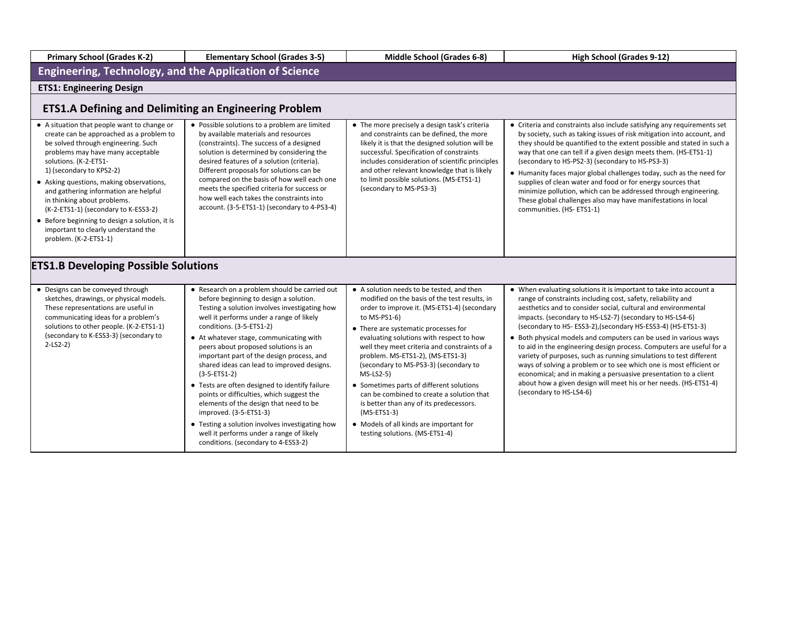| <b>Primary School (Grades K-2)</b>                                                                                                                                                                                                                                                                                                                                                                                                                                                                     | <b>Elementary School (Grades 3-5)</b>                                                                                                                                                                                                                                                                                                                                                                                                                                                                                                                                                                                                                                                                                     | Middle School (Grades 6-8)                                                                                                                                                                                                                                                                                                                                                                                                                                                                                                                                                                                                     | High School (Grades 9-12)                                                                                                                                                                                                                                                                                                                                                                                                                                                                                                                                                                                                                                                                                                                                                                 |  |  |  |  |  |
|--------------------------------------------------------------------------------------------------------------------------------------------------------------------------------------------------------------------------------------------------------------------------------------------------------------------------------------------------------------------------------------------------------------------------------------------------------------------------------------------------------|---------------------------------------------------------------------------------------------------------------------------------------------------------------------------------------------------------------------------------------------------------------------------------------------------------------------------------------------------------------------------------------------------------------------------------------------------------------------------------------------------------------------------------------------------------------------------------------------------------------------------------------------------------------------------------------------------------------------------|--------------------------------------------------------------------------------------------------------------------------------------------------------------------------------------------------------------------------------------------------------------------------------------------------------------------------------------------------------------------------------------------------------------------------------------------------------------------------------------------------------------------------------------------------------------------------------------------------------------------------------|-------------------------------------------------------------------------------------------------------------------------------------------------------------------------------------------------------------------------------------------------------------------------------------------------------------------------------------------------------------------------------------------------------------------------------------------------------------------------------------------------------------------------------------------------------------------------------------------------------------------------------------------------------------------------------------------------------------------------------------------------------------------------------------------|--|--|--|--|--|
| Engineering, Technology, and the Application of Science                                                                                                                                                                                                                                                                                                                                                                                                                                                |                                                                                                                                                                                                                                                                                                                                                                                                                                                                                                                                                                                                                                                                                                                           |                                                                                                                                                                                                                                                                                                                                                                                                                                                                                                                                                                                                                                |                                                                                                                                                                                                                                                                                                                                                                                                                                                                                                                                                                                                                                                                                                                                                                                           |  |  |  |  |  |
| <b>ETS1: Engineering Design</b>                                                                                                                                                                                                                                                                                                                                                                                                                                                                        |                                                                                                                                                                                                                                                                                                                                                                                                                                                                                                                                                                                                                                                                                                                           |                                                                                                                                                                                                                                                                                                                                                                                                                                                                                                                                                                                                                                |                                                                                                                                                                                                                                                                                                                                                                                                                                                                                                                                                                                                                                                                                                                                                                                           |  |  |  |  |  |
| <b>ETS1.A Defining and Delimiting an Engineering Problem</b>                                                                                                                                                                                                                                                                                                                                                                                                                                           |                                                                                                                                                                                                                                                                                                                                                                                                                                                                                                                                                                                                                                                                                                                           |                                                                                                                                                                                                                                                                                                                                                                                                                                                                                                                                                                                                                                |                                                                                                                                                                                                                                                                                                                                                                                                                                                                                                                                                                                                                                                                                                                                                                                           |  |  |  |  |  |
| • A situation that people want to change or<br>create can be approached as a problem to<br>be solved through engineering. Such<br>problems may have many acceptable<br>solutions. (K-2-ETS1-<br>1) (secondary to KPS2-2)<br>• Asking questions, making observations,<br>and gathering information are helpful<br>in thinking about problems.<br>(K-2-ETS1-1) (secondary to K-ESS3-2)<br>• Before beginning to design a solution, it is<br>important to clearly understand the<br>problem. (K-2-ETS1-1) | • Possible solutions to a problem are limited<br>by available materials and resources<br>(constraints). The success of a designed<br>solution is determined by considering the<br>desired features of a solution (criteria).<br>Different proposals for solutions can be<br>compared on the basis of how well each one<br>meets the specified criteria for success or<br>how well each takes the constraints into<br>account. (3-5-ETS1-1) (secondary to 4-PS3-4)                                                                                                                                                                                                                                                         | • The more precisely a design task's criteria<br>and constraints can be defined, the more<br>likely it is that the designed solution will be<br>successful. Specification of constraints<br>includes consideration of scientific principles<br>and other relevant knowledge that is likely<br>to limit possible solutions. (MS-ETS1-1)<br>(secondary to MS-PS3-3)                                                                                                                                                                                                                                                              | • Criteria and constraints also include satisfying any requirements set<br>by society, such as taking issues of risk mitigation into account, and<br>they should be quantified to the extent possible and stated in such a<br>way that one can tell if a given design meets them. (HS-ETS1-1)<br>(secondary to HS-PS2-3) (secondary to HS-PS3-3)<br>• Humanity faces major global challenges today, such as the need for<br>supplies of clean water and food or for energy sources that<br>minimize pollution, which can be addressed through engineering.<br>These global challenges also may have manifestations in local<br>communities. (HS-ETS1-1)                                                                                                                                   |  |  |  |  |  |
| <b>ETS1.B Developing Possible Solutions</b>                                                                                                                                                                                                                                                                                                                                                                                                                                                            |                                                                                                                                                                                                                                                                                                                                                                                                                                                                                                                                                                                                                                                                                                                           |                                                                                                                                                                                                                                                                                                                                                                                                                                                                                                                                                                                                                                |                                                                                                                                                                                                                                                                                                                                                                                                                                                                                                                                                                                                                                                                                                                                                                                           |  |  |  |  |  |
| • Designs can be conveyed through<br>sketches, drawings, or physical models.<br>These representations are useful in<br>communicating ideas for a problem's<br>solutions to other people. (K-2-ETS1-1)<br>(secondary to K-ESS3-3) (secondary to<br>$2-LS2-2)$                                                                                                                                                                                                                                           | • Research on a problem should be carried out<br>before beginning to design a solution.<br>Testing a solution involves investigating how<br>well it performs under a range of likely<br>conditions. (3-5-ETS1-2)<br>• At whatever stage, communicating with<br>peers about proposed solutions is an<br>important part of the design process, and<br>shared ideas can lead to improved designs.<br>$(3-5-ETS1-2)$<br>• Tests are often designed to identify failure<br>points or difficulties, which suggest the<br>elements of the design that need to be<br>improved. (3-5-ETS1-3)<br>• Testing a solution involves investigating how<br>well it performs under a range of likely<br>conditions. (secondary to 4-ESS3-2) | • A solution needs to be tested, and then<br>modified on the basis of the test results, in<br>order to improve it. (MS-ETS1-4) (secondary<br>to $MS-PS1-6$ )<br>• There are systematic processes for<br>evaluating solutions with respect to how<br>well they meet criteria and constraints of a<br>problem. MS-ETS1-2), (MS-ETS1-3)<br>(secondary to MS-PS3-3) (secondary to<br>$MS-LS2-5)$<br>• Sometimes parts of different solutions<br>can be combined to create a solution that<br>is better than any of its predecessors.<br>$(MS-ETS1-3)$<br>• Models of all kinds are important for<br>testing solutions. (MS-ETS1-4) | • When evaluating solutions it is important to take into account a<br>range of constraints including cost, safety, reliability and<br>aesthetics and to consider social, cultural and environmental<br>impacts. (secondary to HS-LS2-7) (secondary to HS-LS4-6)<br>(secondary to HS- ESS3-2), (secondary HS-ESS3-4) (HS-ETS1-3)<br>• Both physical models and computers can be used in various ways<br>to aid in the engineering design process. Computers are useful for a<br>variety of purposes, such as running simulations to test different<br>ways of solving a problem or to see which one is most efficient or<br>economical; and in making a persuasive presentation to a client<br>about how a given design will meet his or her needs. (HS-ETS1-4)<br>(secondary to HS-LS4-6) |  |  |  |  |  |